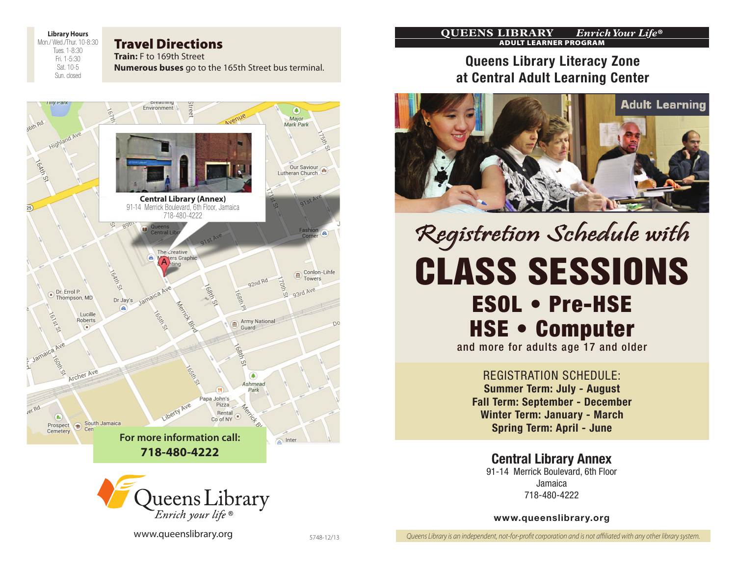**Library Hours** Mon./ Wed./Thur. 10-8:30 Tues. 1-8:30

> Fri. 1-5:30 Sat. 10-5 Sun. closed

### Travel Directions

**Train:** F to 169th Street **Numerous buses** go to the 165th Street bus terminal.





www.queenslibrary.org 5748-12/13

#### **Queens Library** *Enrich Your Life***®** Adult Learner Program

## Queens Library Literacy Zone at Central Adult Learning Center



# class sessions ESOL • Pre-HSE HSE • Computer Registretion Schedule with

and more for adults age 17 and older

Registration Schedule: Summer Term: July - August Fall Term: September - December Winter Term: January - March Spring Term: April - June

Central Library Annex 91-14 Merrick Boulevard, 6th Floor Jamaica 718-480-4222

#### www.queenslibrary.org